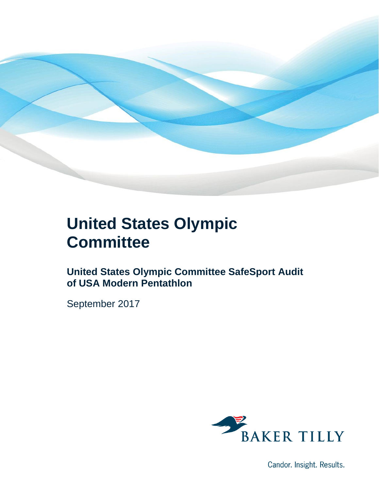

## **United States Olympic Committee**

**United States Olympic Committee SafeSport Audit of USA Modern Pentathlon**

September 2017



Candor. Insight. Results.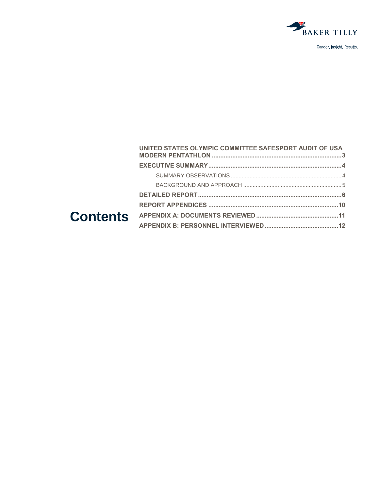

|  | UNITED STATES OLYMPIC COMMITTEE SAFESPORT AUDIT OF USA |  |
|--|--------------------------------------------------------|--|
|  |                                                        |  |
|  |                                                        |  |
|  |                                                        |  |
|  |                                                        |  |
|  |                                                        |  |
|  |                                                        |  |
|  |                                                        |  |
|  |                                                        |  |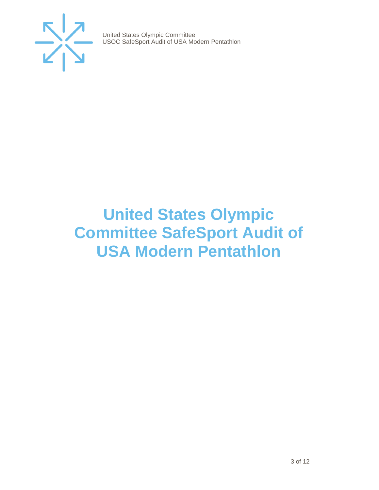

## <span id="page-2-0"></span>**United States Olympic Committee SafeSport Audit of USA Modern Pentathlon**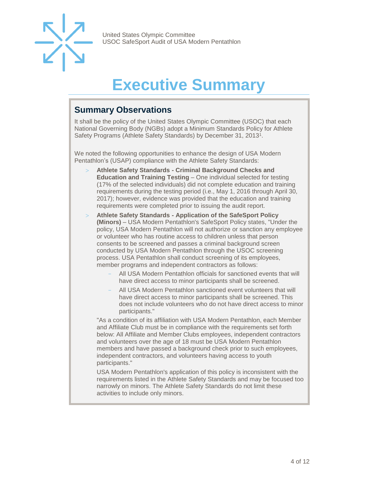

## **Executive Summary**

### <span id="page-3-1"></span><span id="page-3-0"></span>**Summary Observations**

It shall be the policy of the United States Olympic Committee (USOC) that each National Governing Body (NGBs) adopt a Minimum Standards Policy for Athlete Safety Programs (Athlete Safety Standards) by December 31, 2013<sup>1</sup>.

We noted the following opportunities to enhance the design of USA Modern Pentathlon's (USAP) compliance with the Athlete Safety Standards:

- **Athlete Safety Standards - Criminal Background Checks and Education and Training Testing** – One individual selected for testing (17% of the selected individuals) did not complete education and training requirements during the testing period (i.e., May 1, 2016 through April 30, 2017); however, evidence was provided that the education and training requirements were completed prior to issuing the audit report.
- **Athlete Safety Standards - Application of the SafeSport Policy (Minors)** – USA Modern Pentathlon's SafeSport Policy states, "Under the policy, USA Modern Pentathlon will not authorize or sanction any employee or volunteer who has routine access to children unless that person consents to be screened and passes a criminal background screen conducted by USA Modern Pentathlon through the USOC screening process. USA Pentathlon shall conduct screening of its employees, member programs and independent contractors as follows:
	- All USA Modern Pentathlon officials for sanctioned events that will have direct access to minor participants shall be screened.
	- All USA Modern Pentathlon sanctioned event volunteers that will have direct access to minor participants shall be screened. This does not include volunteers who do not have direct access to minor participants."

"As a condition of its affiliation with USA Modern Pentathlon, each Member and Affiliate Club must be in compliance with the requirements set forth below: All Affiliate and Member Clubs employees, independent contractors and volunteers over the age of 18 must be USA Modern Pentathlon members and have passed a background check prior to such employees, independent contractors, and volunteers having access to youth participants."

<span id="page-3-2"></span>USA Modern Pentathlon's application of this policy is inconsistent with the requirements listed in the Athlete Safety Standards and may be focused too narrowly on minors. The Athlete Safety Standards do not limit these activities to include only minors.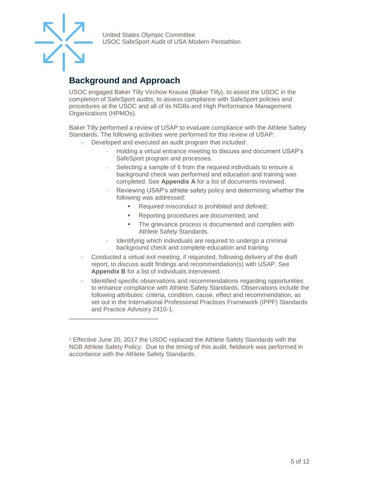

 $\overline{a}$ 

United States Olympic Committee USOC SafeSport Audit of USA Modern Pentathlon

### **Background and Approach**

<span id="page-4-0"></span>USOC engaged Baker Tilly Virchow Krause (Baker Tilly), to assist the USOC in the completion of SafeSport audits, to assess compliance with SafeSport policies and procedures at the USOC and all of its NGBs and High Performance Management Organizations (HPMOs).

Baker Tilly performed a review of USAP to evaluate compliance with the Athlete Safety Standards. The following activities were performed for this review of USAP:

- Developed and executed an audit program that included:
	- Holding a virtual entrance meeting to discuss and document USAP's SafeSport program and processes.
	- Selecting a sample of 6 from the required individuals to ensure a background check was performed and education and training was completed. See **Appendix A** for a list of documents reviewed.
	- Reviewing USAP's athlete safety policy and determining whether the following was addressed:
		- Required misconduct is prohibited and defined;
		- Reporting procedures are documented; and
		- **The grievance process is documented and complies with** Athlete Safety Standards.
	- Identifying which individuals are required to undergo a criminal background check and complete education and training.
- $>$  Conducted a virtual exit meeting, if requested, following delivery of the draft report, to discuss audit findings and recommendation(s) with USAP. See **Appendix B** for a list of individuals interviewed.
- Identified specific observations and recommendations regarding opportunities to enhance compliance with Athlete Safety Standards. Observations include the following attributes: criteria, condition, cause, effect and recommendation, as set out in the International Professional Practices Framework (IPPF) Standards and Practice Advisory 2410-1.

<sup>1</sup> Effective June 20, 2017 the USOC replaced the Athlete Safety Standards with the NGB Athlete Safety Policy. Due to the timing of this audit, fieldwork was performed in accordance with the Athlete Safety Standards.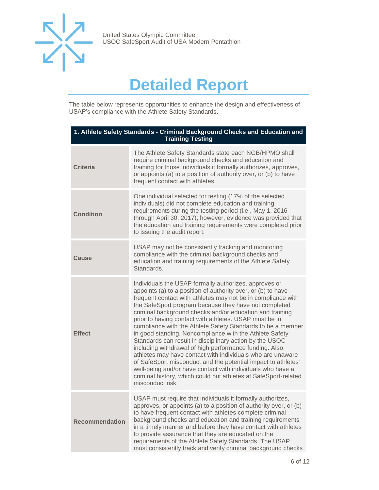

## **Detailed Report**

The table below represents opportunities to enhance the design and effectiveness of USAP's compliance with the Athlete Safety Standards.

| 1. Athlete Safety Standards - Criminal Background Checks and Education and<br><b>Training Testing</b> |                                                                                                                                                                                                                                                                                                                                                                                                                                                                                                                                                                                                                                                                                                                                                                                                                                                                                                          |
|-------------------------------------------------------------------------------------------------------|----------------------------------------------------------------------------------------------------------------------------------------------------------------------------------------------------------------------------------------------------------------------------------------------------------------------------------------------------------------------------------------------------------------------------------------------------------------------------------------------------------------------------------------------------------------------------------------------------------------------------------------------------------------------------------------------------------------------------------------------------------------------------------------------------------------------------------------------------------------------------------------------------------|
| <b>Criteria</b>                                                                                       | The Athlete Safety Standards state each NGB/HPMO shall<br>require criminal background checks and education and<br>training for those individuals it formally authorizes, approves,<br>or appoints (a) to a position of authority over, or (b) to have<br>frequent contact with athletes.                                                                                                                                                                                                                                                                                                                                                                                                                                                                                                                                                                                                                 |
| <b>Condition</b>                                                                                      | One individual selected for testing (17% of the selected<br>individuals) did not complete education and training<br>requirements during the testing period (i.e., May 1, 2016<br>through April 30, 2017); however, evidence was provided that<br>the education and training requirements were completed prior<br>to issuing the audit report.                                                                                                                                                                                                                                                                                                                                                                                                                                                                                                                                                            |
| Cause                                                                                                 | USAP may not be consistently tracking and monitoring<br>compliance with the criminal background checks and<br>education and training requirements of the Athlete Safety<br>Standards.                                                                                                                                                                                                                                                                                                                                                                                                                                                                                                                                                                                                                                                                                                                    |
| <b>Effect</b>                                                                                         | Individuals the USAP formally authorizes, approves or<br>appoints (a) to a position of authority over, or (b) to have<br>frequent contact with athletes may not be in compliance with<br>the SafeSport program because they have not completed<br>criminal background checks and/or education and training<br>prior to having contact with athletes. USAP must be in<br>compliance with the Athlete Safety Standards to be a member<br>in good standing. Noncompliance with the Athlete Safety<br>Standards can result in disciplinary action by the USOC<br>including withdrawal of high performance funding. Also,<br>athletes may have contact with individuals who are unaware<br>of SafeSport misconduct and the potential impact to athletes'<br>well-being and/or have contact with individuals who have a<br>criminal history, which could put athletes at SafeSport-related<br>misconduct risk. |
| <b>Recommendation</b>                                                                                 | USAP must require that individuals it formally authorizes,<br>approves, or appoints (a) to a position of authority over, or (b)<br>to have frequent contact with athletes complete criminal<br>background checks and education and training requirements<br>in a timely manner and before they have contact with athletes<br>to provide assurance that they are educated on the<br>requirements of the Athlete Safety Standards. The USAP<br>must consistently track and verify criminal background checks                                                                                                                                                                                                                                                                                                                                                                                               |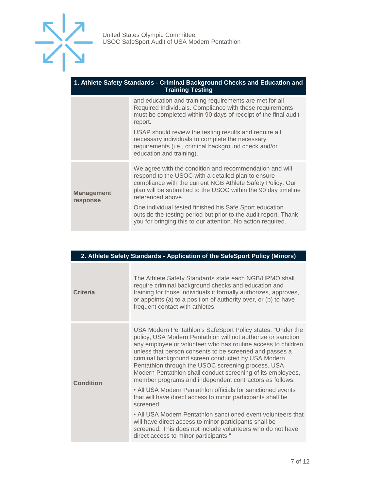

| 1. Athlete Safety Standards - Criminal Background Checks and Education and |
|----------------------------------------------------------------------------|
| <b>Training Testing</b>                                                    |

|                               | and education and training requirements are met for all<br>Required Individuals. Compliance with these requirements<br>must be completed within 90 days of receipt of the final audit<br>report.                                                                  |
|-------------------------------|-------------------------------------------------------------------------------------------------------------------------------------------------------------------------------------------------------------------------------------------------------------------|
|                               | USAP should review the testing results and require all<br>necessary individuals to complete the necessary<br>requirements (i.e., criminal background check and/or<br>education and training).                                                                     |
| <b>Management</b><br>response | We agree with the condition and recommendation and will<br>respond to the USOC with a detailed plan to ensure<br>compliance with the current NGB Athlete Safety Policy. Our<br>plan will be submitted to the USOC within the 90 day timeline<br>referenced above. |
|                               | One individual tested finished his Safe Sport education<br>outside the testing period but prior to the audit report. Thank<br>you for bringing this to our attention. No action required.                                                                         |

| 2. Athlete Safety Standards - Application of the SafeSport Policy (Minors) |                                                                                                                                                                                                                                                                                                                                                                                                                                                                                              |  |
|----------------------------------------------------------------------------|----------------------------------------------------------------------------------------------------------------------------------------------------------------------------------------------------------------------------------------------------------------------------------------------------------------------------------------------------------------------------------------------------------------------------------------------------------------------------------------------|--|
| Criteria                                                                   | The Athlete Safety Standards state each NGB/HPMO shall<br>require criminal background checks and education and<br>training for those individuals it formally authorizes, approves,<br>or appoints (a) to a position of authority over, or (b) to have<br>frequent contact with athletes.                                                                                                                                                                                                     |  |
| <b>Condition</b>                                                           | USA Modern Pentathlon's SafeSport Policy states, "Under the<br>policy, USA Modern Pentathlon will not authorize or sanction<br>any employee or volunteer who has routine access to children<br>unless that person consents to be screened and passes a<br>criminal background screen conducted by USA Modern<br>Pentathlon through the USOC screening process. USA<br>Modern Pentathlon shall conduct screening of its employees,<br>member programs and independent contractors as follows: |  |
|                                                                            | • All USA Modern Pentathlon officials for sanctioned events<br>that will have direct access to minor participants shall be<br>screened.                                                                                                                                                                                                                                                                                                                                                      |  |
|                                                                            | • All USA Modern Pentathlon sanctioned event volunteers that<br>will have direct access to minor participants shall be<br>screened. This does not include volunteers who do not have<br>direct access to minor participants."                                                                                                                                                                                                                                                                |  |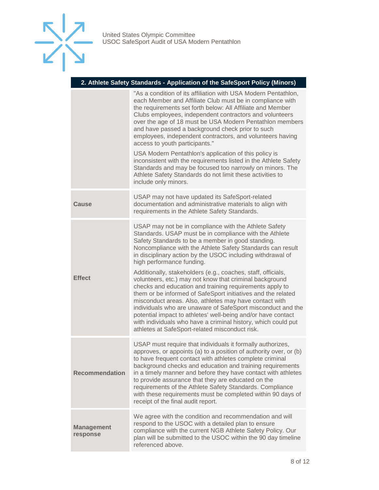

#### **2. Athlete Safety Standards - Application of the SafeSport Policy (Minors)**

|                               | "As a condition of its affiliation with USA Modern Pentathlon,<br>each Member and Affiliate Club must be in compliance with<br>the requirements set forth below: All Affiliate and Member<br>Clubs employees, independent contractors and volunteers<br>over the age of 18 must be USA Modern Pentathlon members<br>and have passed a background check prior to such<br>employees, independent contractors, and volunteers having<br>access to youth participants."<br>USA Modern Pentathlon's application of this policy is<br>inconsistent with the requirements listed in the Athlete Safety<br>Standards and may be focused too narrowly on minors. The<br>Athlete Safety Standards do not limit these activities to<br>include only minors.                                                                                                                                                |
|-------------------------------|-------------------------------------------------------------------------------------------------------------------------------------------------------------------------------------------------------------------------------------------------------------------------------------------------------------------------------------------------------------------------------------------------------------------------------------------------------------------------------------------------------------------------------------------------------------------------------------------------------------------------------------------------------------------------------------------------------------------------------------------------------------------------------------------------------------------------------------------------------------------------------------------------|
| <b>Cause</b>                  | USAP may not have updated its SafeSport-related<br>documentation and administrative materials to align with<br>requirements in the Athlete Safety Standards.                                                                                                                                                                                                                                                                                                                                                                                                                                                                                                                                                                                                                                                                                                                                    |
| <b>Effect</b>                 | USAP may not be in compliance with the Athlete Safety<br>Standards. USAP must be in compliance with the Athlete<br>Safety Standards to be a member in good standing.<br>Noncompliance with the Athlete Safety Standards can result<br>in disciplinary action by the USOC including withdrawal of<br>high performance funding.<br>Additionally, stakeholders (e.g., coaches, staff, officials,<br>volunteers, etc.) may not know that criminal background<br>checks and education and training requirements apply to<br>them or be informed of SafeSport initiatives and the related<br>misconduct areas. Also, athletes may have contact with<br>individuals who are unaware of SafeSport misconduct and the<br>potential impact to athletes' well-being and/or have contact<br>with individuals who have a criminal history, which could put<br>athletes at SafeSport-related misconduct risk. |
| <b>Recommendation</b>         | USAP must require that individuals it formally authorizes,<br>approves, or appoints (a) to a position of authority over, or (b)<br>to have frequent contact with athletes complete criminal<br>background checks and education and training requirements<br>in a timely manner and before they have contact with athletes<br>to provide assurance that they are educated on the<br>requirements of the Athlete Safety Standards. Compliance<br>with these requirements must be completed within 90 days of<br>receipt of the final audit report.                                                                                                                                                                                                                                                                                                                                                |
| <b>Management</b><br>response | We agree with the condition and recommendation and will<br>respond to the USOC with a detailed plan to ensure<br>compliance with the current NGB Athlete Safety Policy. Our<br>plan will be submitted to the USOC within the 90 day timeline<br>referenced above.                                                                                                                                                                                                                                                                                                                                                                                                                                                                                                                                                                                                                               |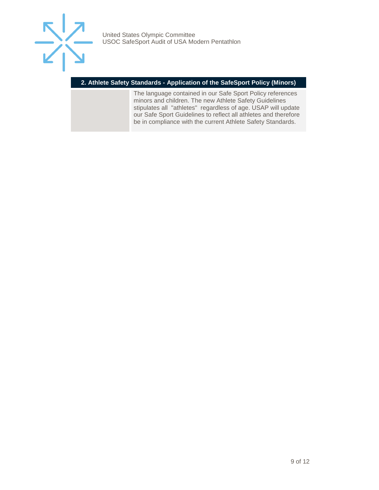

#### **2. Athlete Safety Standards - Application of the SafeSport Policy (Minors)**

The language contained in our Safe Sport Policy references minors and children. The new Athlete Safety Guidelines stipulates all "athletes" regardless of age. USAP will update our Safe Sport Guidelines to reflect all athletes and therefore be in compliance with the current Athlete Safety Standards.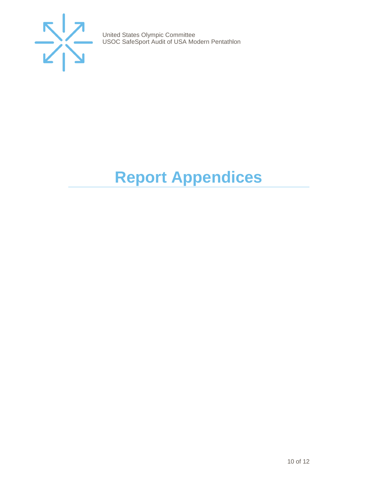

# <span id="page-9-0"></span>**Report Appendices**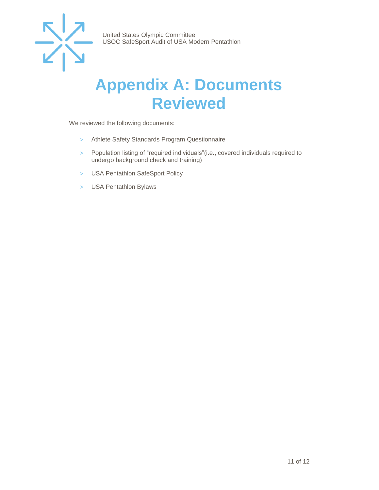

## <span id="page-10-0"></span>**Appendix A: Documents Reviewed**

We reviewed the following documents:

- > Athlete Safety Standards Program Questionnaire
- > Population listing of "required individuals"(i.e., covered individuals required to undergo background check and training)
- > USA Pentathlon SafeSport Policy
- > USA Pentathlon Bylaws